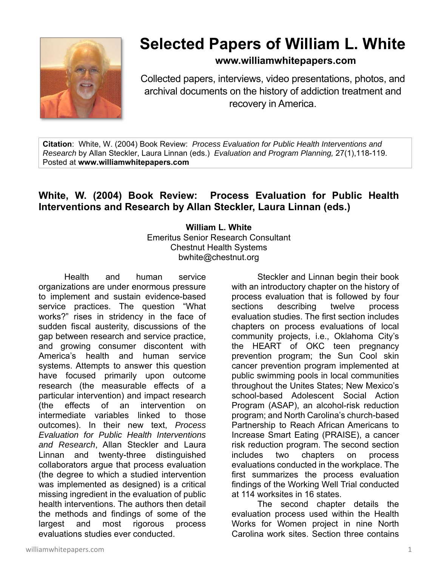

## **Selected Papers of William L. White**

## **www.williamwhitepapers.com**

Collected papers, interviews, video presentations, photos, and archival documents on the history of addiction treatment and recovery in America.

**Citation**: White, W. (2004) Book Review: *Process Evaluation for Public Health Interventions and Research* by Allan Steckler, Laura Linnan (eds.) *Evaluation and Program Planning,* 27(1),118-119. Posted at **www.williamwhitepapers.com** 

## **White, W. (2004) Book Review: Process Evaluation for Public Health Interventions and Research by Allan Steckler, Laura Linnan (eds.)**

**William L. White**  Emeritus Senior Research Consultant Chestnut Health Systems bwhite@chestnut.org

Health and human service organizations are under enormous pressure to implement and sustain evidence-based service practices. The question "What works?" rises in stridency in the face of sudden fiscal austerity, discussions of the gap between research and service practice, and growing consumer discontent with America's health and human service systems. Attempts to answer this question have focused primarily upon outcome research (the measurable effects of a particular intervention) and impact research (the effects of an intervention on intermediate variables linked to those outcomes). In their new text, *Process Evaluation for Public Health Interventions and Research*, Allan Steckler and Laura Linnan and twenty-three distinguished collaborators argue that process evaluation (the degree to which a studied intervention was implemented as designed) is a critical missing ingredient in the evaluation of public health interventions. The authors then detail the methods and findings of some of the largest and most rigorous process evaluations studies ever conducted.

 Steckler and Linnan begin their book with an introductory chapter on the history of process evaluation that is followed by four sections describing twelve process evaluation studies. The first section includes chapters on process evaluations of local community projects, i.e., Oklahoma City's the HEART of OKC teen pregnancy prevention program; the Sun Cool skin cancer prevention program implemented at public swimming pools in local communities throughout the Unites States; New Mexico's school-based Adolescent Social Action Program (ASAP), an alcohol-risk reduction program; and North Carolina's church-based Partnership to Reach African Americans to Increase Smart Eating (PRAISE), a cancer risk reduction program. The second section includes two chapters on process evaluations conducted in the workplace. The first summarizes the process evaluation findings of the Working Well Trial conducted at 114 worksites in 16 states.

The second chapter details the evaluation process used within the Health Works for Women project in nine North Carolina work sites. Section three contains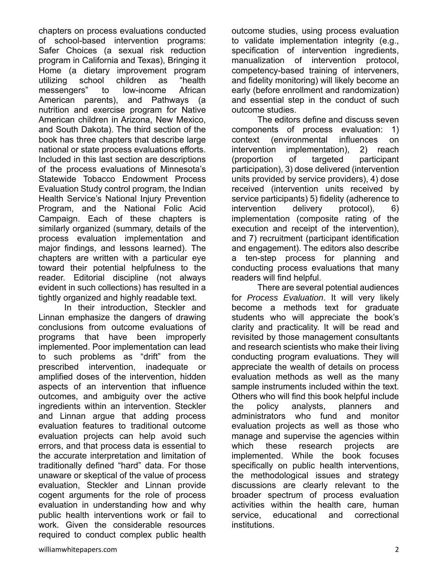chapters on process evaluations conducted of school-based intervention programs: Safer Choices (a sexual risk reduction program in California and Texas), Bringing it Home (a dietary improvement program utilizing school children as "health messengers" to low-income African American parents), and Pathways (a nutrition and exercise program for Native American children in Arizona, New Mexico, and South Dakota). The third section of the book has three chapters that describe large national or state process evaluations efforts. Included in this last section are descriptions of the process evaluations of Minnesota's Statewide Tobacco Endowment Process Evaluation Study control program, the Indian Health Service's National Injury Prevention Program, and the National Folic Acid Campaign. Each of these chapters is similarly organized (summary, details of the process evaluation implementation and major findings, and lessons learned). The chapters are written with a particular eye toward their potential helpfulness to the reader. Editorial discipline (not always evident in such collections) has resulted in a tightly organized and highly readable text.

 In their introduction, Steckler and Linnan emphasize the dangers of drawing conclusions from outcome evaluations of programs that have been improperly implemented. Poor implementation can lead to such problems as "drift" from the prescribed intervention, inadequate or amplified doses of the intervention, hidden aspects of an intervention that influence outcomes, and ambiguity over the active ingredients within an intervention. Steckler and Linnan argue that adding process evaluation features to traditional outcome evaluation projects can help avoid such errors, and that process data is essential to the accurate interpretation and limitation of traditionally defined "hard" data. For those unaware or skeptical of the value of process evaluation, Steckler and Linnan provide cogent arguments for the role of process evaluation in understanding how and why public health interventions work or fail to work. Given the considerable resources required to conduct complex public health outcome studies, using process evaluation to validate implementation integrity (e.g., specification of intervention ingredients, manualization of intervention protocol, competency-based training of interveners, and fidelity monitoring) will likely become an early (before enrollment and randomization) and essential step in the conduct of such outcome studies.

The editors define and discuss seven components of process evaluation: 1) context (environmental influences on intervention implementation), 2) reach (proportion of targeted participant participation), 3) dose delivered (intervention units provided by service providers), 4) dose received (intervention units received by service participants) 5) fidelity (adherence to intervention delivery protocol), 6) implementation (composite rating of the execution and receipt of the intervention), and 7) recruitment (participant identification and engagement). The editors also describe a ten-step process for planning and conducting process evaluations that many readers will find helpful.

There are several potential audiences for *Process Evaluation*. It will very likely become a methods text for graduate students who will appreciate the book's clarity and practicality. It will be read and revisited by those management consultants and research scientists who make their living conducting program evaluations. They will appreciate the wealth of details on process evaluation methods as well as the many sample instruments included within the text. Others who will find this book helpful include the policy analysts, planners and administrators who fund and monitor evaluation projects as well as those who manage and supervise the agencies within which these research projects are implemented. While the book focuses specifically on public health interventions, the methodological issues and strategy discussions are clearly relevant to the broader spectrum of process evaluation activities within the health care, human service, educational and correctional institutions.